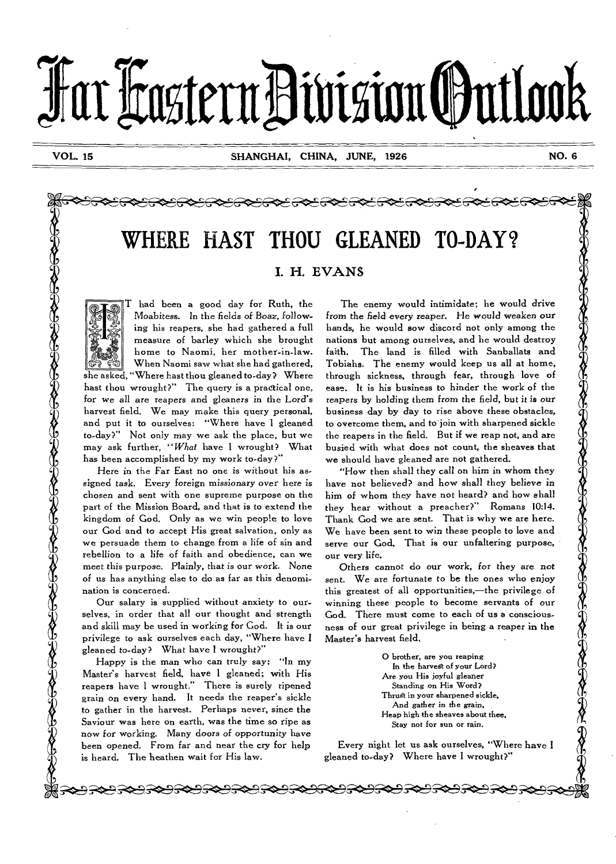# **Tat L'astenaltastittouttook**

40 25

**そうでもつきらきにつきのとうとうとうとうとうそうとうそうとうとうそうき** 

## **WHERE HAST THOU GLEANED TO-DAY? I. H. EVANS**



Ď. 94 -

T had been a good day for Ruth, the Moabitess. In the fields of Boaz, following his reapers, she had gathered a full measure of barley which she brought home to Naomi, her mother-in-law. When Naomi saw what she had gathered, she asked, "Where bast thou gleaned to-day? Where hast thou wrought?" The query is a practical one, for we all are reapers and gleaners in the Lord's harvest field. We may make this query personal, and put it to ourselves: "Where have I gleaned to-day?" Not only may we ask the place, but we may ask further, *"What* have I wrought? What has been accomplished by my work to-day?"

Here in the Far East no one is without his assigned task. Every *foreign missionary* over here *is*  chosen and sent with one supreme purpose on the part of the Mission Board, and that is to extend the kingdom of God. Only as we win people to love our God and to accept His great salvation, only as we persuade them to change from a life of sin and rebellion to a life of faith and obedience, can we meet *this* purpose. Plainly, that is our work. None of us has anything else to do as far as this denomination is concerned.

Our salary is supplied without anxiety to ourselves, in order that all our thought and strength and skill may be used in working for God. It is our privilege to ask ourselves each day, "Where have **<sup>I</sup>** gleaned to-day? What have I wrought?"

Happy is the man who can truly say: "In my Master's harvest field, have I gleaned; with His reapers have I wrought," There is surely ripened grain on every hand. It needs the reaper's sickle to gather in the harvest. Perhaps never, since *the*  Saviour was here on earth, was the time so ripe as now for working. Many doors of opportunity have been opened. From far and near the cry for help is heard. The heathen wait for His law.

The enemy would intimidate; he would drive from the field *every* reaper. He would weaken **our**  hands, he would sow discord not only among the nations but among ourselves, and he would destroy faith. The land is filled with Sanballats and Tobiahs. The enemy would keep us all at home, through sickness, through fear, through love of ease. It is his business to hinder the work of the reapers by holding them from the field, but *it is* our business day by day to rise above these obstacles, to overcome them, and to join with sharpened sickle the reapers in the field. But if we reap not, and are busied with what does not count, the sheaves that *we* should have gleaned are not gathered.

"How then shall they call on him in whom they have not believed? and how shall they believe *in*  him of whom they have not heard? and how shall they hear without a preacher?" Romans 10:14. Thank God we are sent. That is why we are here. We have been sent to win these people to love and serve our God, That is our unfaltering purpose, our very life.

Others cannot do our work, *for they are not*  sent. We are fortunate to be the ones who enjoy this greatest of all opportunities,—the privilege of winning these people to become servants of our God. There must come to each of us a consciousness of our great privilege in being a reaper in the Master's harvest field.

> 0 brother, are you reaping In the harvest of your Lord? Are **you** His joyful gleaner Standing on His Word? Thrust in your sharpened sickle, And gather *in* the *grain,*  Heap high the sheaves about thee, Stay not for sun or rain.

Every night let us ask ourselves, "Where have **I**  gleaned to-day? Where have I wrought?"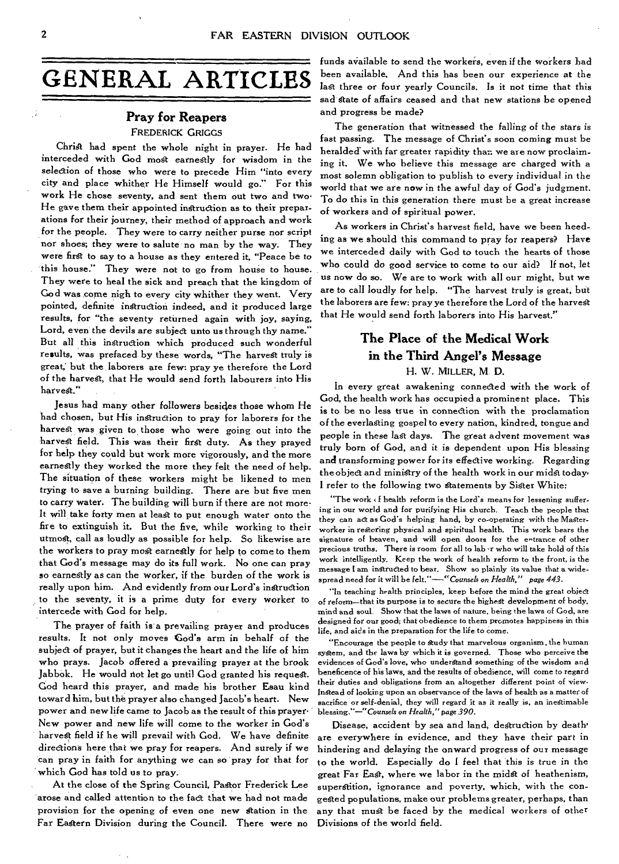# **GENERAL ARTICLES**

#### **Pray for Reapers**  FREDERICK GRIGGS

Christ had spent the whole night in prayer. He had interceded with God most earnestly for wisdom in the selection of those who were to precede Him "into every city and place whither He Himself would go." For this work He chose seventy, and sent them out two and two• He gave them their appointed instruction as to their preparations for their journey, their method of approach and work for the people. They were to carry neither purse nor script nor shoes; they were to salute no man by the way. They were first to say to a house as they entered it, "Peace be to this house." They were not to go from house to house. They were to heal the sick and preach that the kingdom of God was come nigh to every city whither they went. Very pointed, definite instruction indeed, and it produced large results, for "the seventy returned again with joy, saying, Lord, even the devils are subject unto us through thy name." But all this instruction which produced such wonderful results, was prefaced by these words, "The harvest truly is great; but the laborers are few: pray ye therefore the Lord of the harvest, that He would send forth labourers into His harvest."

Jesus had many other followers besides those whom He had chosen, but His instruction to pray for laborers for the harvest was given to those who were going out into the harvest field. This was their first duty. As they prayed for help they could but work more vigorously, and the more earnestly they worked the more they felt the need of help. The situation of these workers might be likened to men trying to save a burning building. There are but five men to carry water. The building will burn if there are not more-It will take forty men at least to put enough water onto the fire to extinguish it. But the five, while working to their utmost, call as loudly as possible for help. So likewise are the workers to pray most earnestly for help to come to them that God's message may do its full work. No one can pray so earnestly as can **the** worker, if the burden of the work is really upon him. And evidently from our Lord's instruction to the seventy, it is a prime duty for every worker to intercede with God for help.

The prayer of faith is a prevailing prayer and produces results. It not only moves Cod's arm in behalf of the subject of prayer, but it changes the heart and the life of him who prays. Jacob offered a prevailing prayer at the brook Jabbok. He would not let go until God granted his request. God heard this prayer, and made his brother Esau kind toward him, but the prayer also changed Jacob's heart. New power and new life came to Jacob as the result of this prayer-New power and new life will come to the worker in God's harvest field if he will prevail with God. We have definite directions here that we pray for reapers. And surely if we can pray in faith for anything we can so pray for that for which God has told us to pray.

At the close of the Spring Council, Pastor Frederick Lee arose and called attention to the fact that we had not made provision for the opening of even one new Station in the Far Eastern Division during the Council. There were no funds available to send the workers, even if the workers had been available, And this has been our experience at the last three or four yearly Councils. Is it not time that this sad state of affairs ceased and that new stations be opened and progress be made?

The generation that witnessed the falling of the stars is fast passing. The message of Christ's soon coming must be heralded' with far greater rapidity than we are now proclaiming it. We who believe this message are charged with a most solemn obligation to publish to every individual in the world that we are now in the awful day of God's judgment. To do this in this generation there must be a great increase of workers and of spiritual power.

As workers in Christ's harvest field, have we been heeding as we should this command to pray for reapers? Have we interceded daily with God to touch the hearts of those who could do good service to come to our aid? If not, let us now do so. We are to work with all our might, but we are to call loudly for help. "The harvest truly is great, but the laborers are few: pray ye therefore the Lord of the harvest that He would send forth laborers into His harvest."

## **The Place of the Medical Work in the Third Angel's Message**  H. W. MILLER, M. D.

In every great awakening connected with the work of God, the health work has occupied a prominent place. This is to be no less true in connection with the proclamation of the everlasting gospel to every nation, kindred, tongue and people in these last days. The great advent movement was truly born of God, and it is dependent upon His blessing and transforming power for its effective working. Regarding the object and ministry of the health work in our midst today, I refer to the following two Statements by Sister White:

"The work <f health reform is the Lord's means for lessening suffering in our world and for purifying His church. Teach the people that they can act as God's helping hand, by co-operating with the Masterworker in restoring physical and spiritual health. This work bears the signature of heaven, and will open doors for the entrance of other precious truths. There is room for all to  $lab \cdot r$  who will take hold of this work intelligently. Keep the work of health reform to the front, is the message I am instructed to bear. Show so plainly its value that a widespread need for it will be *felt."—"Counsels on Health," page 443.* 

"In teaching health principles, keep before the mind the great object of reform—that its purpose is to secure the highest development of body, mind and soul. Show that the laws of nature, being the laws of God, are designed for our good; that obedience to them promotes happiness in this life, and aids in the preparation for the life to come.

"Encourage the people to study that marvelous organism, the human system, and the laws by which it is governed. Those who perceive the evidences of God's love, who understand something of the wisdom and *beneficence* of his laws, and the results of obedience, will come to regard their duties and obligations from an altogether different point of view• Instead of looking upon an observance of the laws of health as a matter of sacrifice or self-denial, they will regard it as it really is, an inestimable blessing."—"Counsels *on Health,"* page *390.* 

Disease, accident by sea and land, destruction by death' are everywhere in evidence, and they have their part in hindering and delaying the onward progress of our message to the world. Especially do I feel that this is true in the great Far East, where we labor in the midst of heathenism, superstition, ignorance and poverty, which, with the congested populations, make our problems greater, perhaps, than any that must be faced by the medical workers of other Divisions of the world field.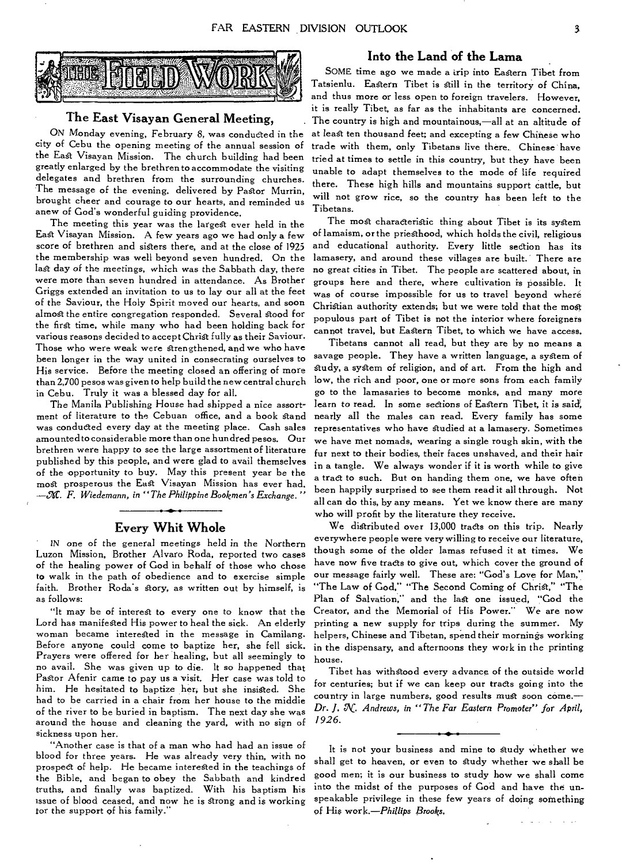

#### **The East Visayan General Meeting,**

ON Monday evening, February 8, was conducted in the city of Cebu the opening meeting of the annual session of the East Visayan Mission. The church building had been greatly enlarged by the brethren to accommodate the visiting delegates and brethren from the surrounding churches. The message of the evening, delivered by Pastor Murrin, brought cheer and courage to our hearts, and reminded us anew of God's wonderful guiding providence.

The meeting this year was the largest ever held in the East Visayan Mission. A few years ago we had only a few score of brethren and sisters there, and at the close of 1925 the membership was well beyond seven hundred. On the last day of the meetings, which was the Sabbath day, there were more than seven hundred in attendance. As Brother Griggs extended an invitation to us to lay our all at the feet of the Saviour, the Holy Spirit moved our hearts, and soon almost the entire congregation responded. Several stood for the first time, while many who had been holding back for various reasons decided to accept Christ fully as their Saviour. Those who were weak were strengthened, and we who have been longer in the way united in consecrating ourselves to His service. Before the meeting closed an offering of more than 2,700 pesos was given to help build the new central church in Cebu. Truly it was a blessed day for all.

The Manila Publishing House had shipped a nice assortment of literature to the Cebuan office, and a book stand was conducted every day at the meeting place. Cash sales amounted to considerable more than one hundred pesos. Our brethren were happy to see the large assortment of literature published by this people, and were glad to avail themselves of the opportunity to buy. May this present year be the most prosperous the East Visayan Mission has ever had. *-Jr. F. Wiedemann, in "The Philippine Bookmen's Exchange. "* 

#### **Every Whit Whole**

IN one of the general meetings held in the Northern Luzon Mission, Brother Alvaro Roda, reported two cases of the healing power of God in behalf of those who chose to walk in the path of obedience and to exercise simple faith. Brother Roda's story, as written out by himself, is as follows:

"It may be of interest to every one to know that the Lord has manifested His power to heal the sick. An elderly woman became interested in the message in Camilang. Before anyone could come to baptize her, she fell sick. Prayers were offered for her healing, but all seemingly to no avail. She was given up to die. It so happened that Pastor Afenir came to pay us a visit. Her case was told to him. He hesitated to baptize her, but she insisted. She had to be carried in a chair from her house to the middle of the river to be buried in baptism. The next day she was around the house and cleaning the yard, with no sign of sickness upon her.

"Another case is that of a man who had had an issue of blood for three years. He was already very thin, with no prospect of help. He became interested in the teachings of the Bible, and began to obey the Sabbath and kindred truths, and finally was baptized. With his baptism his issue of blood ceased, and now he is strong and is working tor the support of his family."

#### **Into the Land of the Lama**

SOME time ago we made a trip into Eastern Tibet from Tatsienlu. Eastern Tibet is still in the territory of China, and thus more or less open to foreign travelers. However, it is really Tibet, as far as the inhabitants are concerned. The country is high and mountainous,—all at an altitude of at least ten thousand feet; and excepting a few Chinese who trade with them, only Tibetans live there. Chinese have tried at times to settle in this country, but they have been unable to adapt themselves to the mode of life required there. These high hills and mountains support cattle, but will not grow rice, so the country has been left to the Tibetans.

The most characteristic thing about Tibet is its system of lamaism, or the priesthood, which holds the civil, religious and educational authority. Every little section has its lamasery, and around these villages are built. There are no great cities in Tibet. The people are scattered about, in groups here and there, where cultivation is possible. It was of course impossible for us to travel beyond where Christian authority extends; but we were told that the most populous part of Tibet is not the interior where foreigners cannot travel, but Eastern Tibet, to which we have access.

Tibetans cannot all read, but they are by no means a savage people. They have a written language, a system of study, a system of religion, and of art. From the high and low, the rich and poor, one or more sons from each family go to the lamasaries to become monks, and many more learn to read. In some sections of Eastern Tibet, it is *said',*  nearly all the males can read. Every family has some representatives who have studied at a lamasery. Sometimes we have met nomads, wearing a single rough skin, with the fur next to their bodies, their faces unshaved, and their hair in a tangle. We always wonder if it is worth while to give a tract to such. But on handing them one, we have often been happily surprised to see them read it all through. Not all can do this, by any means. Yet we know there are many who will profit by the literature they receive.

We distributed over 13,000 tracts on this trip. Nearly everywhere people were very willing to receive our literature, though some of the older lamas refused it at times. We have now five tracts to give out, which cover the ground of our message fairly well. These are: "God's Love for Man," "The Law of God," "The Second Coming of Christ," "The Plan of Salvation," and the last one issued, "God the Creator, and the Memorial of His Power." We are now printing a new supply for trips during the summer. My helpers, Chinese and Tibetan, spend their mornings working in the dispensary, and afternoons they work in the printing house.

Tibet has withstood every advance of the outside world for centuries; but if we can keep our tracts going into the country in large numbers, good results must soon come.— *Dr.* J. *AC. Andrews, in "The Far Eastern Promoter" for April, 1926.* 

It is not your business and mine to Study whether we shall get to heaven, or even to Study whether we shall be good men; it is our business to study how we shall come into the midst of the purposes of God and have the unspeakable privilege in these few years of doing something of His *work.—Phillips Brooks,*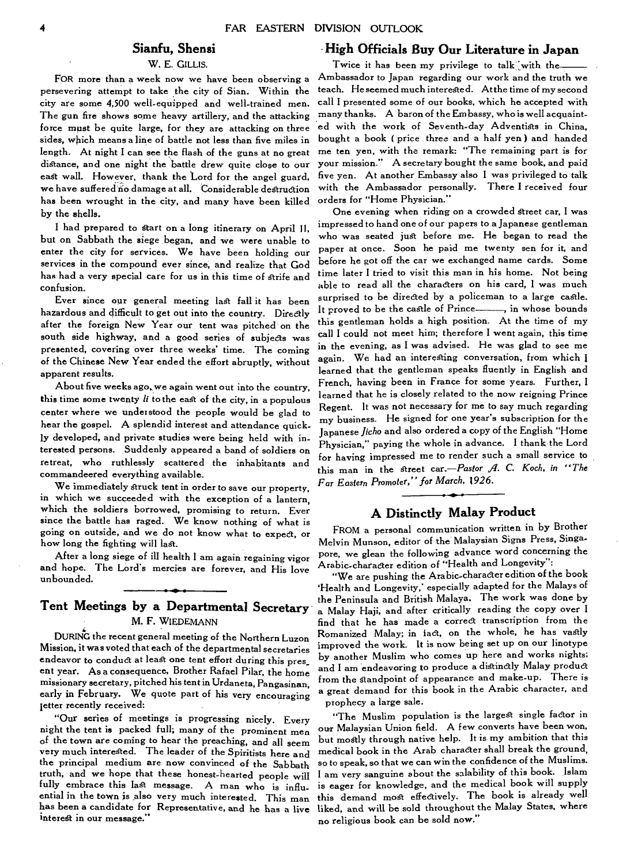#### **Sianfu, Shensi**

#### W. E. GILLIS.

FOR more than a week now we have been observing a persevering attempt to take the city of Sian. Within the city are some 4,500 well-equipped and well-trained men. The gun fire shows some heavy artillery, and the attacking force must be quite large, for they are attacking on three sides, which means a line of battle not less than five miles in length. At night I can see the flash of the guns at no great distance, and one night the battle drew quite close to our east wall. However, thank the Lord for the angel guard, we have suffered no damage at all. Considerable destruction has been wrought in the city, and many have been killed by the shells.

I had prepared to start on a long itinerary on April 11, but on Sabbath the siege began, and we were unable to enter the city for services. We have been holding our services in the compound ever since, and realize that God has had a very special care for us in this time of strife and confusion.

Ever since our general meeting last fall it has been hazardous and difficult to get out into the country. Directly after the foreign New Year our tent was pitched on the south side highway, and a good series of subjects was presented, covering over three weeks' time. The coming of the Chinese New Year ended the effort abruptly, without apparent results.

About five weeks ago,we again went out into the country, this time some twenty *li* to the east of the city, in a populous center where we understood the people would be glad to hear the gospel. A splendid interest and attendance quickly developed, and private studies were being held with interested persons. Suddenly appeared a band of soldiers on retreat, who ruthlessly scattered the inhabitants and commandeered everything available.

We immediately struck tent in order to save our property, in which we succeeded with the exception of a lantern, which the soldiers borrowed, promising to return. Ever since the battle has raged. We know nothing of what is going on outside, and we do not know what to expect, or how long the fighting will last.

After a long siege of ill health I am again regaining vigor and hope. The Lord's mercies are forever, and His love unbounded.

### **Tent Meetings by a Departmental Secretary**  M. F. WIEDEMANN

DURING the recent general meeting of the Northern Luzon Mission, it was voted that each of the departmental secretaries endeavor to conduct at least one tent effort during this pres\_ ent year. As a consequence, Brother Rafael Pilar, the home missionary secretary, pitched his tent in Urdaneta, Pangasinan, early in February. We quote part of his very encouraging letter recently received:

"Our series of meetings is progressing nicely. Every night the tent is packed full; many of the prominent men of the town are coming to hear the preaching, and all seem very much interested. The leader of the Spiritists here and the principal medium are now convinced of the Sabbath truth, and we hope that these honest-hearted people will fully embrace this last message. A man who is influential in the town is also very much interested. This man has been a candidate for Representative, and he has a live interest in our message."

#### **- High Officials Buy Our Literature in Japan**

Twice it has been my privilege to talk with the-Ambassador to Japan regarding our work and the truth we teach. He seemed much interested. At the time of my second call I presented some of our books, which he accepted with many thanks. A baron of the Embassy, who is well acquainted with the work of Seventh-day Adventists in China, bought a book ( price three and a half yen) and handed me ten yen, with the remark: "The remaining part is for your mission." A secretary bought the same book, and paid five yen. At another Embassy also I was privileged to talk with the Ambassador personally. There I received four orders for "Home Physician."

One evening when riding on a crowded Street car, I was impressed to hand one of our papers to a Japanese gentleman who was seated just before me. He began to read the paper at once. Soon he paid me twenty sen for it, and before he got off the car we exchanged name cards. Some time later I tried to visit this man in his home. Not being able to read all the characters on his card, I was much surprised to be directed by a policeman to a large castle. It proved to be the castle of Prince , in whose bounds this gentleman holds a high position. At the time of my call I could not meet him; therefore I went again, this time in the evening, as I was advised. He was glad to see me again. We had an interesting conversation, from which I learned that the gentleman speaks fluently in English and French, having been in France for some years. Further, I learned that he is closely related to the now reigning Prince Regent. It was not necessary for me to say much regarding my business. He signed for one year's subscription for the Japanese *Jicho* and also ordered a copy of the English "Home Physician," paying the whole in advance. I thank the Lord for having impressed me to render such a small service to this man in the street *car.—Pastor 11. C. Koch, in "The Far Eastern* Promoter,' *for March, 1926.* 

#### **A Distinctly Malay Product**

FROM a personal communication written in by Brother Melvin Munson, editor of the Malaysian Signs Press, Singapore, we glean the following advance word concerning the Arabic-character edition of "Health and Longevity":

"We are pushing the Arabic-character edition of the book `Health and Longevity,' especially adapted for the Malays of the Peninsula and British Malaya. The work was done by a Malay Haji, and after critically reading the copy over I find that he has made a correct transcription from the Romanized Malay; in fact, on the whole, he has vastly improved the work. It is now being set up on our linotype by another Muslim who comes up here and works nights; and I am endeavoring to produce a distinctly Malay product from the standpoint of appearance and make-up. There is a great demand for this book in the Arabic character, and prophecy a large sale.

"The Muslim population is the largest single factor in our Malaysian Union field. A few converts have been won, but mostly through native help. It is my ambition that this medical book in the Arab character shall break the ground, so to speak, so that we can win the confidence of the Muslims. I am very sanguine about the salability of this book. Islam is eager for knowledge, and the medical book will supply this demand most effectively. The book is already well liked, and will be sold throughout the Malay States, where no religious book can be sold now."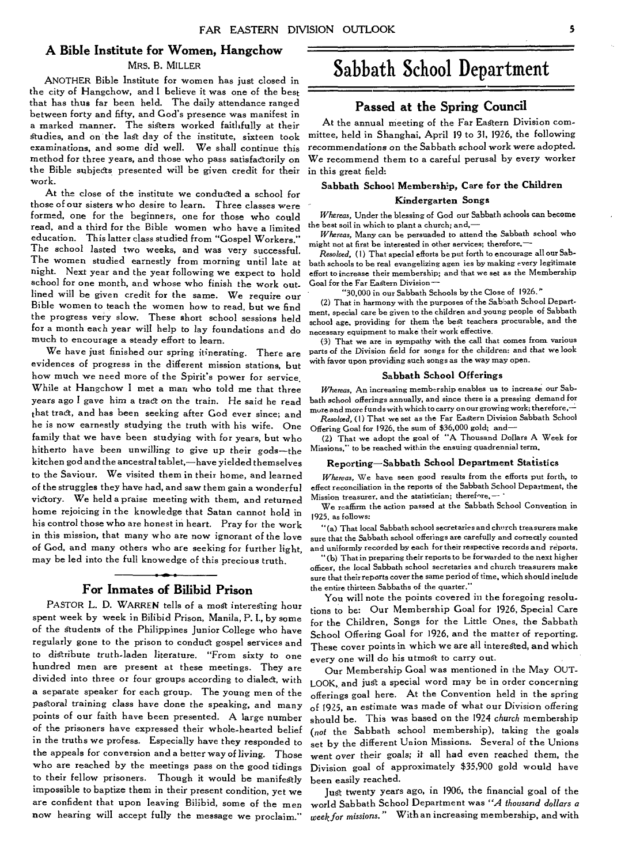#### **A Bible Institute for Women, Hangchow**

#### MRS. B. MILLER

ANOTHER Bible Institute for women has just closed in the city of Hangchow, and I believe it was one of the best that has thus far been held. The daily attendance ranged between forty and fifty, and God's presence was manifest in a marked manner. The sisters worked faithfully at their Studies, and on the last day of the institute, sixteen took examinations, and some did well. We shall continue this method for three years, and those who pass satisfactorily on the Bible subjects presented will be given credit for their work.

At the close of the institute we conducted a school for those of our sisters who desire to learn. Three classes were formed, one for the beginners, one for those who could read, and a third for the Bible women who have a limited education. This latter class studied from "Gospel Workers." The school lasted two weeks, and was very successful. The women studied earnestly from morning until late at night. Next year and the year following we expect to hold school for one month, and whose who finish the work outlined will be given credit for the same. We require our Bible women to teach the women how to read, but we find the progress very slow. These short school sessions held for a month each year will help to lay foundations and do much to encourage a steady effort to learn.

We have just finished our spring itinerating. There are evidences of progress in the different mission stations, but how much we need more of the Spirit's power for service, While at Hangchow I met a man who told me that three years ago I gave him a tract on the train. He said he read that tract, and has been seeking after God ever since; and he is now earnestly studying the truth with his wife. One family that we have been studying with for years, but who hitherto have been unwilling to give up their gods—the kitchen god and the ancestral tablet,—have yielded themselves to the Saviour. We visited them in their home, and learned of the struggles they have had, and saw them gain a wonderful victory. We held a praise meeting with them, and returned home rejoicing in the knowledge that Satan cannot hold in his control those who are honest in heart. Pray for the work in this mission, that many who are now ignorant of the love of God, and many others who are seeking for further light, may be led into the full knowedge of this precious truth.

#### **For Inmates of Bilibid Prison**

PASTOR L. D. WARREN tells of a most interesting hour spent week by week in Bilibid Prison, Manila, P. I., by some of the students of the Philippines Junior College who have regularly gone to the prison to conduct gospel services and to distribute truth-laden literature. "From sixty to one hundred men are present at these meetings. They are divided into three or four groups according to dialed, with a separate speaker for each group. The young men of the pagtora/ training *class* have done the speaking, and many points of our faith have been presented. A large number of the prisoners have expressed their whole-hearted belief in the truths we profess. Especially have they responded to the appeals for conversion and a better way of living. Those who are reached by the meetings pass on the good tidings to their fellow prisoners. Though it would be manifestly impossible to baptize them in their present condition, yet we are confident that upon leaving Bilibid, some of the men now hearing will accept fully the message we proclaim."

## **Sabbath School Department**

#### **Passed at the Spring Council**

At the annual meeting of the Far Eastern Division committee, held in Shanghai, April 19 to 31, 1926, the following *recommendations* on the Sabbath school work were adopted. We recommend them to a careful perusal by every worker in this great field:

#### **Sabbath School Membership, Care for the Children Kindergarten Songs**

*Whereas,* Under the blessing of God our Sabbath schools can become the best soil in which to plant a church; and,—

*Whereas,* Many can be persuaded to attend the Sabbath school who might not at first be interested in other services; therefore.—

*Resolved, (* I) That special efforts be put forth to encourage all our Sabbath schools to be real evangelizing agen ies by making every legitimate effort to increase their membership; and that we set as the Membership Goal for the Far Eastern Division—

"30,000 in our Sabbath Schools by the Close of 1926."

(2) That in harmony with the purposes of the Sabbath School Department, special care be given to the children and young people of Sabbath school age, providing for them the best teachers procurable, and the necessary equipment to make their work effective.

(3) That we are in sympathy with the call that comes from various parts of the Division field for songs for the children: and that we look with favor upon providing such songs as the *way* may open.

#### **Sabbath School Offerings**

*Whereas,* An increasing membership enables us to increase our Sabbath school *offerings* annually, and since there is a pressing demand for mure and more funds with which to carry on our growing work; therefore,— *Resolved,* (1) That we set as the Far Eastern Division Sabbath School

Offering Goal for 1926, the sum of \$36,000 gold; and—

(2) That we adopt the goal of "A Thousand Dollars A Week for Missions," to be reached within the ensuing quadrennial term.

#### **Reporting—Sabbath School Department Statistics**

*Whereas,* We have seen good results from the efforts put forth, to effect reconciliation in the reports of the Sabbath School Department, the Mission treasurer, and the statistician; therefore,-

We reaffirm the action passed at the Sabbath School Convention in 1925, as follows:

" (a) That local Sabbath school secretaries and church treasurers make sure that the Sabbath school offerings are carefully and correctly counted and uniformly recorded by each for their respective records and reports.

(b) That in preparing their reports to be forwarded to the next higher officer, the local Sabbath school secretaries and church treasurers make sure that their reports cover the same period of time, which should include the entire thirteen Sabbaths of the quarter."

You will note the points covered in the foregoing resolutions to be: Our Membership Goal for 1926, Special Care for the Children, Songs for the Little Ones, the Sabbath School Offering Goal for 1926, and the matter of reporting. These cover points in which we are all interested, and which every one will do his utmost to carry out,

Our Membership Goal was mentioned in the May OUT-LOOK, and just a special word may be in order concerning offerings goal here. At the Convention held in the spring of 1925, an estimate was made of what our Division offering should be. This was based on the 1924 *church* membership *(not* the Sabbath school membership), taking the goals set by the different Union Missions. Several of the Unions went over their *goals;* it all had even reached them, the Division goal of approximately \$35,900 gold would have been easily reached.

Just twenty years ago, in 1906, the financial goal of the world Sabbath School Department was *"A thousand dollars* a week for *missions."* With an increasing membership, and with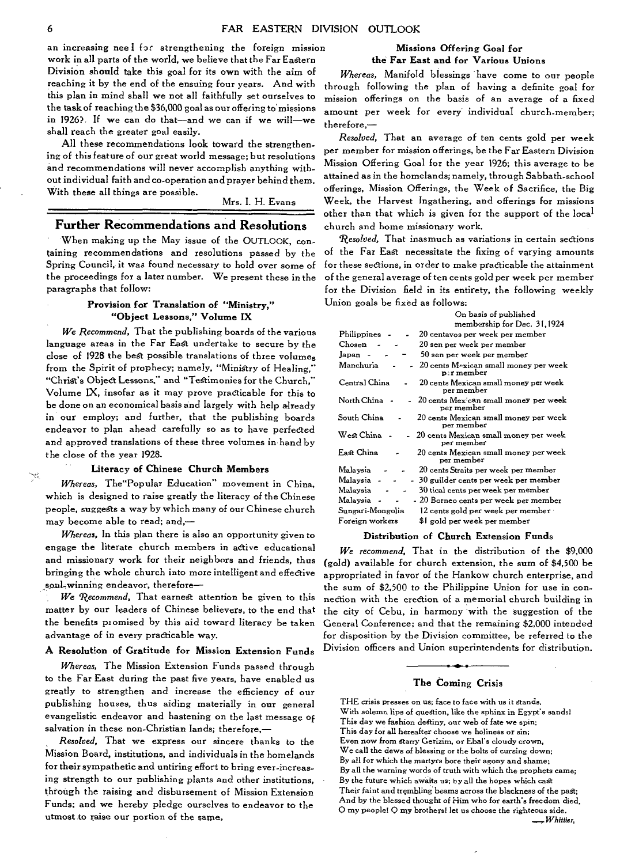an increasing neel for strengthening the foreign mission work in all parts of the world, we believe that the Far Eastern Division should take this goal for its own with the aim of reaching it by the end of the ensuing four years. And with this plan in mind shall we not all faithfully set ourselves to the task of reaching the \$36,000 goal as our offering to missions in 1926?. If we can do that—and we can if we will—we shall reach the greater goal easily.

All these recommendations look toward the strengthening of this feature of our great world message; but resolutions and recommendations will never accomplish anything without individual faith and co-operation and prayer behind them. With these all things are possible.

Mrs. I. H. Evans

#### **Further Recommendations and Resolutions**

When making up the May issue of the OUTLOOK, containing recommendations and resolutions passed by the Spring Council, it was found necessary to hold over some of the proceedings for a later number. We present these in the paragraphs that follow:

#### **Provision for Translation of "Ministry," "Object Lessons," Volume IX**

*We Recommend,* That the publishing boards of the various language areas in the Far East undertake to secure by the close of 1928 the best possible translations of three volumes from the Spirit of prophecy; namely, "Ministry of Healing," "Christ's Object Lessons," and "Testimonies for the Church," Volume IX, insofar as it may prove practicable for this to be done on an economical basis and largely with help already in our employ; and further, that the publishing boards endeavor to plan ahead carefully so as to have perfected and approved translations of these three volumes in hand by the close of the year **1928.** 

#### **Literacy of Chinese Church Members**

*Whereas,* The"Popular Education" movement in China, which is designed to raise greatly the literacy of the Chinese people, suggests a way by which many of our Chinese church may become able to read; and,—

*Whereas,* In this plan there is also an opportunity given to engage the literate church members in active educational and missionary work for their neighbors and friends, thus bringing the whole church into more intelligent and effective soul-winning endeavor, therefore-

We *Recommend,* That earnest attention be given to this matter by our leaders of Chinese believers, to the end that the benefits promised by this aid toward literacy be taken advantage of in every practicable way.

#### **A Resolution of Gratitude for Mission Extension Funds**

*Whereas,* The Mission Extension Funds passed through to the Far East during the past five years, have enabled us greatly to strengthen and increase the efficiency of our publishing houses, thus aiding materially in our general evangelistic endeavor and hastening on the last message of salvation in these non-Christian lands; therefore,—

*Resolved,* That we express our sincere thanks to the Mission Board, institutions, and individuals in the homelands for their sympathetic and untiring effort to bring ever-increasing strength to our publishing plants and other institutions, through the raising and disbursement of Mission Extension Funds; and we hereby pledge ourselves to endeavor to the utmost to raise our portion of the game,

#### Missions Offering Goal **for the Far East and for Various Unions**

*Whereas,* Manifold blessings have come to our people through following the plan of having a definite goal for mission offerings on the basis of an average of a fixed amount per week for every individual church-member; therefore,—

*Resolved,* That an average of ten cents gold per week per member for mission offerings, be the Far Eastern Division Mission Offering Goal for the year 1926; this average to be attained as in the homelands; namely, through Sabbath-school offerings, Mission Offerings, the Week of Sacrifice, the Big Week, the Harvest Ingathering, and offerings for missions other than that which is given for the support of the local church and home missionary work.

*Resolved,* That inasmuch as variations in certain sections of the Far EaSt necessitate the fixing of varying amounts for these sections, in order to make practicable the attainment of the general average of ten cents gold per week per member for the Division field in its entirety, the following weekly Union goals be fixed as follows:

| On basis of published                                                           |
|---------------------------------------------------------------------------------|
| membership for Dec. 31,1924                                                     |
| 20 centavos per week per member<br>Philippines                                  |
| Chosen<br>20 sen per week per member                                            |
| 50 sen per week per member<br>Japan                                             |
| $20$ cents M $\alpha$ xican small money per week<br>Manchuria<br>$p$ : r member |
| Central China<br>20 cents Mexican small money per week<br>per member            |
| North China<br>20 cents Mex can small money per week<br>$\sim$<br>per member    |
| South China<br>20 cents Mexican small money per week<br>per member              |
| West China<br>20 cents Mexican small money per week<br>per member               |
| East China<br>20 cents Mexican small money per week<br>per member               |
| 20 cents Straits per week per member<br>Malaysia                                |
| - 30 guilder cents per week per member<br>Malaysia                              |
| 30 tical cents per week per member<br>Malaysia                                  |
| - 20 Borneo cents per week per member<br>Malaysia                               |
| Sungari-Mongolia<br>12 cents gold per week per member                           |
| \$1 gold per week per member<br>Foreign workers                                 |

#### **Distribution of Church Extension Funds**

*We recommend,* That in the distribution of the \$9,000 (gold) available for church extension, the sum of \$4,500 be appropriated in favor of the Hankow church enterprise, and the sum of \$2,500 to the Philippine Union for use in connection with the erection of a memorial church building in the city of Cebu, in harmony with the suggestion of the General Conference; and that the remaining \$2,000 intended for disposition by the Division committee, be referred to the Division officers and Union superintendents for distribution.

#### **The Coming Crisis**

THE crisis presses on us; face to face with us it stands, With solemn lips of question, like the sphinx in Egypt's sands! This day we fashion destiny, our web of fate we spin; This day for all hereafter choose we holiness or sin; Even now from Starry Gerizim, or Ebal's cloudy crown, We call the dews of blessing or the bolts of cursing down; By all for which the martyrs bore their agony and shame; By all the warning words of truth with which the prophets came; By the future which awaits us; by all the hopes which cast Their faint and trembling beams across the blackness of the past; And by the blessed thought of Him who for earth's freedom died, O my people! Q my brothers! let us choose the righteous side.<br>  $W$ hittier,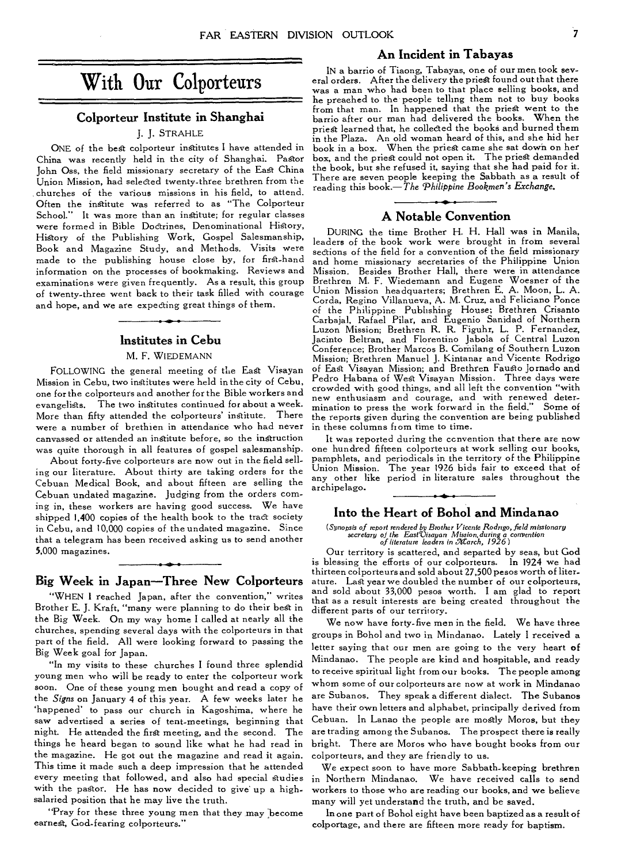#### **An Incident in Tabayas**

#### **Colporteur Institute in Shanghai**

#### **J.** J. STRAHLE

ONE of the best colporteur institutes I have attended in China was recently held in the city of Shanghai. Pastor John Oss, the field missionary secretary of the East China Union Mission, had selected twenty-three brethren from the churches of the various missions in his field, to attend. Often the institute was referred to as "The Colporteur School." It was more than an institute; for regular classes were formed in Bible Doctrines, Denominational History, History of the Publishing Work, Gospel Salesmanship, Book and Magazine Study, and Methods. Visits were made to the publishing house close by, for first-hand information on the processes of bookmaking. Reviews and examinations were given frequently. As a result, this group of twenty-three went back to their task filled with courage and hope, and we are expecting great things of them.

#### **Institutes in Cebu**

#### M. F. WIEDEMANN

FOLLOWING the general meeting of the East Visayan Mission in Cebu, two institutes were held in the city of Cebu, one for the colporteurs and another for the Bible workers and evangelists. The two institutes continued for about a week. More than fifty attended the colporteurs' institute. There were a number of brethien in attendance who had never canvassed or attended an institute before, so the instruction was quite thorough in all features of gospel salesmanship.

About forty-five colporteurs are now out in the field selling our literature. About thirty are taking orders for the Cebuan Medical Book, and about fifteen are selling the Cebuan undated magazine. Judging from the orders coming in, these workers are having good success. We have shipped 1,400 copies of the health book to the tract society in Cebu, and 10,000 copies of the undated magazine. Since that a telegram has been received asking us to send another 5,000 magazines.

#### **Big Week in Japan—Three New Colporteurs**

"WHEN I reached Japan, after the convention," writes Brother E. J. Kraft, "many were planning to do their best in the Big Week. On my way home I called at nearly all the churches, spending several days with the colporteurs in that part of the field. All were looking forward to passing the Big Week goal for Japan.

"In my visits to these churches I found three splendid young men who will be ready to enter the colporteur work soon. One of these young men bought and read a copy of the *Signs* on January 4 of this year. A few weeks later he `happened' to pass our church in Kagoshima, where he saw advertised a series of tent-meetings, beginning that night. He attended the first meeting, and the second. The things he heard began to sound like what he had read in the magazine. He got out the magazine and read it again. This time it made such a deep impression that he attended every meeting that followed, and also had special studies with the pastor. He has now decided to give up a highsalaried position that he may live the truth.

"Pray for these three young men that they may become earnest, God-fearing colporteurs."

IN a barrio of Tiaong, Tabayas, one of our men took several orders. After the delivery the priest found out that there was a man who had been to that place selling books, and he preached to the people telling them not to buy books from that man. In happened that the priest went to the barrio after our man had delivered the books. When the priest learned that, he collected the books and burned them in the Plaza. An old woman heard of this, and she hid her book in a box. When the priest came she sat down on her box, and the priest could not open it. The priest demanded the book, but she refused it, saying that she had paid for it. There are seven people keeping the Sabbath as a result of reading this book.—The *Bookmen's Exchange.* 

#### **A Notable Convention**

DURING the time Brother H. H. Hall was in Manila, leaders of the book work were brought in from several sections of the field for a convention of the field missionary and home missionary secretaries of the Philippine Union Mission. Besides Brother Hall, there were in attendance Brethren M. F. Wiedemann and Eugene Woesner of the Union Mission headquarters; Brethren E. A. Moon, L. A. Corda, Regino Villanueva, A. M. Cruz, and Feliciano Ponce of the Philippine Publishing House; Brethren Crisanto Carbajal, Rafael Pilar, and Eugenio Sanidad of Northern Luzon Mission; Brethren R. R. Figuhr, L. P. Fernandez, Jacinto Beltran, and Florentino Jabola of Central Luzon Conference; Brother Marcos B. COmilang of Southern Luzon Mission; Brethren Manuel J. Kintanar and Vicente Rodrigo of East Visayan Mission; and Brethren Faugto Jornado and Pedro Habana of West Visayan Mission. Three days were crowded with good things, and all left the convention "with new enthusiasm and courage, and with renewed determination to press the work forward in the field." Some of the reports given during the convention are being published in these columns from time to time.

It was reported during the ccnvention that there are now one hundred fifteen colporteurs at work selling our books, pamphlets, and periodicals in the territory of the Philippine Union Mission. The year 1926 bids fair to exceed that of any other like period in literature sales throughout the archipelago.

#### **Into the Heart of Bohol and Mindanao**

*(Synopsis of report rendered by Brother Vicente Rodrigo, field missionary secretary of the EastVisayan Mission, during a convention of literature leaders in ararch, 1926)* 

Our territory is scattered, and separted by seas, but God is blessing the efforts of our colporteurs. In 1924 we had thirteen colporteurs and sold about 27,500 pesos worth of literature. Last year we doubled the number of our colporteurs, and sold about 33,000 pesos worth. I am glad to report that as a result interests are being created throughout the different parts of our territory.

We now have forty-five men in the field. We have three groups in Bohol and two in Mindanao. Lately I received a letter saying that our men are going to the very heart of Mindanao. The people are kind and hospitable, and ready to receive spiritual light from our books. The people among whom some of our colporteurs are now at work in Mindanao are Subanos. They speak a different dialect. The Subanos have their own letters and alphabet, principally derived from Cebuan. In Lanao the people are mostly Moros, but they are trading among the Subanos. The prospect there is really bright. There are Moros who have bought books from our colporteurs, and they are friendly to us.

We expect soon to have more Sabbath-keeping brethren in Northern Mindanao. We have received calls to send workers to those who are reading our books, and we believe many will yet understand the truth, and be saved.

In one part of Bohol eight have been baptized as a result of colportage, and there are fifteen more ready for baptism.